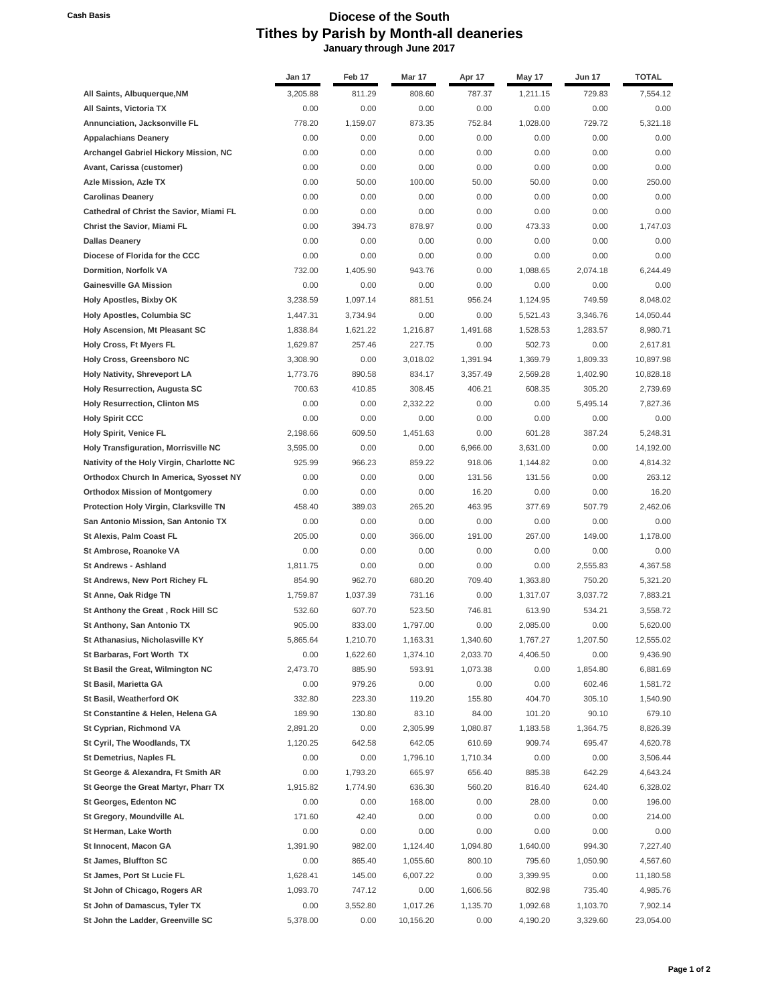## **Cash Basis Diocese of the South Tithes by Parish by Month-all deaneries January through June 2017**

|                                                               | Jan 17           | Feb <sub>17</sub> | Mar 17            | Apr 17          | May 17             | <b>Jun 17</b>   | <b>TOTAL</b>       |
|---------------------------------------------------------------|------------------|-------------------|-------------------|-----------------|--------------------|-----------------|--------------------|
| All Saints, Albuquerque, NM                                   | 3,205.88         | 811.29            | 808.60            | 787.37          | 1,211.15           | 729.83          | 7,554.12           |
| All Saints, Victoria TX                                       | 0.00             | 0.00              | 0.00              | 0.00            | 0.00               | 0.00            | 0.00               |
| Annunciation, Jacksonville FL                                 | 778.20           | 1,159.07          | 873.35            | 752.84          | 1,028.00           | 729.72          | 5,321.18           |
| <b>Appalachians Deanery</b>                                   | 0.00             | 0.00              | 0.00              | 0.00            | 0.00               | 0.00            | 0.00               |
| Archangel Gabriel Hickory Mission, NC                         | 0.00             | 0.00              | 0.00              | 0.00            | 0.00               | 0.00            | 0.00               |
| Avant, Carissa (customer)                                     | 0.00             | 0.00              | 0.00              | 0.00            | 0.00               | 0.00            | 0.00               |
| Azle Mission, Azle TX                                         | 0.00             | 50.00             | 100.00            | 50.00           | 50.00              | 0.00            | 250.00             |
| <b>Carolinas Deanery</b>                                      | 0.00             | 0.00              | 0.00              | 0.00            | 0.00               | 0.00            | 0.00               |
| Cathedral of Christ the Savior, Miami FL                      | 0.00             | 0.00              | 0.00              | 0.00            | 0.00               | 0.00            | 0.00               |
| <b>Christ the Savior, Miami FL</b>                            | 0.00             | 394.73            | 878.97            | 0.00            | 473.33             | 0.00            | 1,747.03           |
| <b>Dallas Deanery</b>                                         | 0.00             | 0.00              | 0.00              | 0.00            | 0.00               | 0.00            | 0.00               |
| Diocese of Florida for the CCC                                | 0.00             | 0.00              | 0.00              | 0.00            | 0.00               | 0.00            | 0.00               |
| Dormition, Norfolk VA                                         | 732.00           | 1,405.90          | 943.76            | 0.00            | 1,088.65           | 2,074.18        | 6,244.49           |
| <b>Gainesville GA Mission</b>                                 | 0.00             | 0.00              | 0.00              | 0.00            | 0.00               | 0.00            | 0.00               |
| <b>Holy Apostles, Bixby OK</b>                                | 3,238.59         | 1,097.14          | 881.51            | 956.24          | 1,124.95           | 749.59          | 8,048.02           |
| Holy Apostles, Columbia SC                                    | 1,447.31         | 3,734.94          | 0.00              | 0.00            | 5,521.43           | 3,346.76        | 14,050.44          |
| Holy Ascension, Mt Pleasant SC                                | 1,838.84         | 1,621.22          | 1,216.87          | 1,491.68        | 1,528.53           | 1,283.57        | 8,980.71           |
| Holy Cross, Ft Myers FL                                       | 1,629.87         | 257.46            | 227.75            | 0.00            | 502.73             | 0.00            | 2,617.81           |
| <b>Holy Cross, Greensboro NC</b>                              | 3,308.90         | 0.00              | 3,018.02          | 1,391.94        | 1,369.79           | 1.809.33        | 10,897.98          |
| Holy Nativity, Shreveport LA                                  | 1,773.76         | 890.58            | 834.17            | 3,357.49        | 2,569.28           | 1,402.90        | 10,828.18          |
| <b>Holy Resurrection, Augusta SC</b>                          | 700.63           | 410.85            | 308.45            | 406.21          | 608.35             | 305.20          | 2,739.69           |
| <b>Holy Resurrection, Clinton MS</b>                          | 0.00             | 0.00              | 2,332.22          | 0.00            | 0.00               | 5,495.14        | 7,827.36           |
| <b>Holy Spirit CCC</b>                                        | 0.00             | 0.00              | 0.00              | 0.00            | 0.00               | 0.00            | 0.00               |
| <b>Holy Spirit, Venice FL</b>                                 | 2,198.66         | 609.50            | 1,451.63          | 0.00            | 601.28             | 387.24          | 5.248.31           |
| Holy Transfiguration, Morrisville NC                          | 3,595.00         | 0.00              | 0.00              | 6,966.00        | 3,631.00           | 0.00            | 14,192.00          |
| Nativity of the Holy Virgin, Charlotte NC                     | 925.99           | 966.23            | 859.22            | 918.06          | 1,144.82           | 0.00            | 4,814.32           |
| Orthodox Church In America, Syosset NY                        | 0.00             | 0.00              | 0.00              | 131.56          | 131.56             | 0.00            | 263.12             |
| <b>Orthodox Mission of Montgomery</b>                         | 0.00             | 0.00              | 0.00              | 16.20           | 0.00               | 0.00            | 16.20              |
| <b>Protection Holy Virgin, Clarksville TN</b>                 | 458.40           | 389.03            | 265.20            | 463.95          | 377.69             | 507.79          | 2,462.06           |
| San Antonio Mission, San Antonio TX                           | 0.00             | 0.00              | 0.00              | 0.00            | 0.00               | 0.00            | 0.00               |
| St Alexis, Palm Coast FL                                      | 205.00           | 0.00              | 366.00            | 191.00          | 267.00             | 149.00          | 1,178.00           |
| St Ambrose, Roanoke VA                                        | 0.00             | 0.00              | 0.00              | 0.00            | 0.00               | 0.00            | 0.00               |
| <b>St Andrews - Ashland</b>                                   | 1,811.75         | 0.00              | 0.00              | 0.00            | 0.00               | 2,555.83        | 4,367.58           |
| St Andrews, New Port Richey FL                                | 854.90           | 962.70            | 680.20            | 709.40          | 1,363.80           | 750.20          | 5,321.20           |
| St Anne, Oak Ridge TN                                         | 1,759.87         | 1,037.39          | 731.16            | 0.00            | 1,317.07           | 3,037.72        | 7,883.21           |
| St Anthony the Great, Rock Hill SC                            | 532.60           | 607.70            | 523.50            | 746.81          | 613.90             | 534.21          | 3,558.72           |
| St Anthony, San Antonio TX                                    | 905.00           | 833.00            | 1,797.00          | 0.00            | 2,085.00           | 0.00            | 5,620.00           |
| St Athanasius, Nicholasville KY                               | 5,865.64         | 1,210.70          | 1,163.31          | 1,340.60        | 1,767.27           | 1,207.50        | 12,555.02          |
| St Barbaras, Fort Worth TX                                    | 0.00             | 1,622.60          | 1,374.10          | 2,033.70        | 4,406.50           | 0.00            | 9,436.90           |
| St Basil the Great, Wilmington NC                             | 2,473.70         | 885.90            | 593.91            | 1,073.38        | 0.00               | 1,854.80        | 6,881.69           |
| St Basil, Marietta GA                                         | 0.00             | 979.26            | 0.00              | 0.00            | 0.00               | 602.46          | 1,581.72           |
| St Basil, Weatherford OK<br>St Constantine & Helen, Helena GA | 332.80<br>189.90 | 223.30<br>130.80  | 119.20            | 155.80<br>84.00 | 404.70             | 305.10<br>90.10 | 1,540.90<br>679.10 |
| St Cyprian, Richmond VA                                       | 2,891.20         | 0.00              | 83.10<br>2,305.99 | 1,080.87        | 101.20<br>1,183.58 | 1,364.75        | 8,826.39           |
| St Cyril, The Woodlands, TX                                   | 1,120.25         | 642.58            | 642.05            | 610.69          | 909.74             |                 | 4,620.78           |
| St Demetrius, Naples FL                                       | 0.00             | 0.00              | 1,796.10          | 1,710.34        | 0.00               | 695.47          | 3,506.44           |
| St George & Alexandra, Ft Smith AR                            | 0.00             | 1,793.20          | 665.97            | 656.40          | 885.38             | 0.00<br>642.29  | 4,643.24           |
| St George the Great Martyr, Pharr TX                          | 1,915.82         | 1,774.90          | 636.30            | 560.20          | 816.40             | 624.40          | 6,328.02           |
| St Georges, Edenton NC                                        | 0.00             | 0.00              | 168.00            | 0.00            | 28.00              | 0.00            | 196.00             |
| St Gregory, Moundville AL                                     | 171.60           | 42.40             | 0.00              | 0.00            | 0.00               | 0.00            | 214.00             |
| St Herman, Lake Worth                                         | 0.00             | 0.00              | 0.00              | 0.00            | 0.00               | 0.00            | 0.00               |
| St Innocent, Macon GA                                         | 1,391.90         | 982.00            | 1,124.40          | 1,094.80        | 1,640.00           | 994.30          | 7,227.40           |
| St James, Bluffton SC                                         | 0.00             | 865.40            | 1,055.60          | 800.10          | 795.60             | 1,050.90        | 4,567.60           |
| St James, Port St Lucie FL                                    | 1,628.41         | 145.00            | 6,007.22          | 0.00            | 3,399.95           | 0.00            | 11,180.58          |
| St John of Chicago, Rogers AR                                 | 1,093.70         | 747.12            | 0.00              | 1,606.56        | 802.98             | 735.40          | 4,985.76           |
| St John of Damascus, Tyler TX                                 | 0.00             | 3,552.80          | 1,017.26          | 1,135.70        | 1,092.68           | 1,103.70        | 7,902.14           |
| St John the Ladder, Greenville SC                             | 5,378.00         | 0.00              | 10,156.20         | 0.00            | 4,190.20           | 3,329.60        | 23,054.00          |
|                                                               |                  |                   |                   |                 |                    |                 |                    |